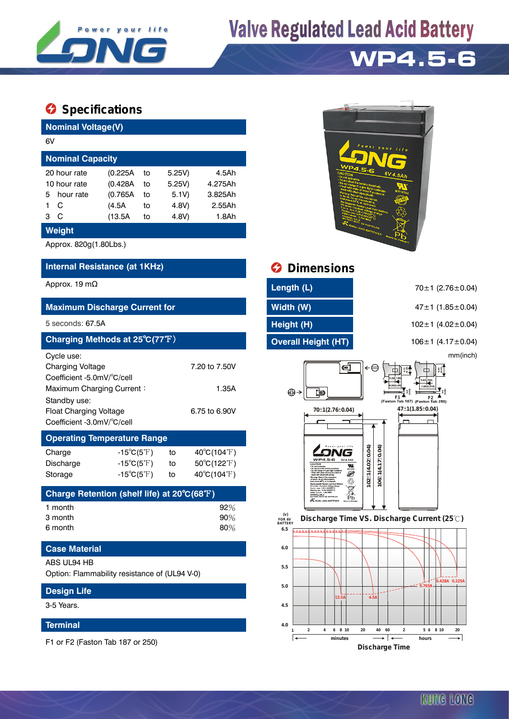

# **Valve Regulated Lead Acid Battery**

## **WP4.5-6**

### $\bullet$  Specifications

| <b>Nominal Voltage(V)</b>                        |           |          |    |        |         |  |  |  |
|--------------------------------------------------|-----------|----------|----|--------|---------|--|--|--|
| 6V                                               |           |          |    |        |         |  |  |  |
| <b>Nominal Capacity</b>                          |           |          |    |        |         |  |  |  |
| 5.25V<br>20 hour rate<br>(0.225A)<br>4.5Ah<br>to |           |          |    |        |         |  |  |  |
| 10 hour rate                                     |           | (0.428A) | to | 5.25V) | 4.275Ah |  |  |  |
| 5.                                               | hour rate | (0.765A) | to | 5.1V   | 3.825Ah |  |  |  |
|                                                  | C         | (4.5A    | to | 4.8V)  | 2.55Ah  |  |  |  |
| 3                                                | C         | (13.5A   | to | 4.8V   | 1.8Ah   |  |  |  |
| <b>Wainht</b>                                    |           |          |    |        |         |  |  |  |

#### **Weight**

Approx. 820g(1.80Lbs.)

### **Internal Resistance (at 1KHz) Dimensions**

| <b>Maximum Discharge Current for</b>                                                                                                                                                                                |                                                             |                |                                                                |  |  |  |  |
|---------------------------------------------------------------------------------------------------------------------------------------------------------------------------------------------------------------------|-------------------------------------------------------------|----------------|----------------------------------------------------------------|--|--|--|--|
| $5$ seconds: $67.5A$                                                                                                                                                                                                |                                                             |                |                                                                |  |  |  |  |
| Charging Methods at 25°C(77°F)                                                                                                                                                                                      |                                                             |                |                                                                |  |  |  |  |
| Cycle use:<br>Charging Voltage<br>7.20 to 7.50V<br>Coefficient -5.0mV/°C/cell<br>Maximum Charging Current:<br>1.35A<br>Standby use:<br><b>Float Charging Voltage</b><br>6.75 to 6.90V<br>Coefficient -3.0mV/°C/cell |                                                             |                |                                                                |  |  |  |  |
| <b>Operating Temperature Range</b>                                                                                                                                                                                  |                                                             |                |                                                                |  |  |  |  |
| Charge<br><b>Discharge</b><br>Storage                                                                                                                                                                               | $-15^{\circ}C(5^{\circ}F)$<br>-15°C(5°F) $\,$<br>-15°C(5°F) | to<br>to<br>to | $40^{\circ}$ C(104 $^{\circ}$ F)<br>50°C(122°F)<br>40°C(104°F) |  |  |  |  |
| Charge Retention (shelf life) at 20 $\mathrm{^{\circ}C(68^{\circ}F)}$                                                                                                                                               |                                                             |                |                                                                |  |  |  |  |
| 1 month<br>3 month<br>6 month                                                                                                                                                                                       |                                                             |                | 92%<br>90%<br>80%                                              |  |  |  |  |
| <b>Case Material</b>                                                                                                                                                                                                |                                                             |                |                                                                |  |  |  |  |
| ABS UL94 HB<br>Option: Flammability resistance of (UL94 V-0)                                                                                                                                                        |                                                             |                |                                                                |  |  |  |  |
| <b>Design Life</b>                                                                                                                                                                                                  |                                                             |                |                                                                |  |  |  |  |

3-5 Years.

#### **Terminal**

F1 or F2 (Faston Tab 187 or 250)



| Approx. 19 mΩ                        | Length (L)          | $70±1$ (2.76±0.04)            |
|--------------------------------------|---------------------|-------------------------------|
| <b>Maximum Discharge Current for</b> | Width (W)           | $47 \pm 1$ (1.85 $\pm$ 0.04)  |
| 5 seconds: 67.5A                     | Height (H)          | $102 \pm 1$ (4.02 $\pm$ 0.04) |
| Charging Methods at 25°C(77°F)       | Overall Height (HT) | 106 $\pm$ 1 (4.17 $\pm$ 0.04) |